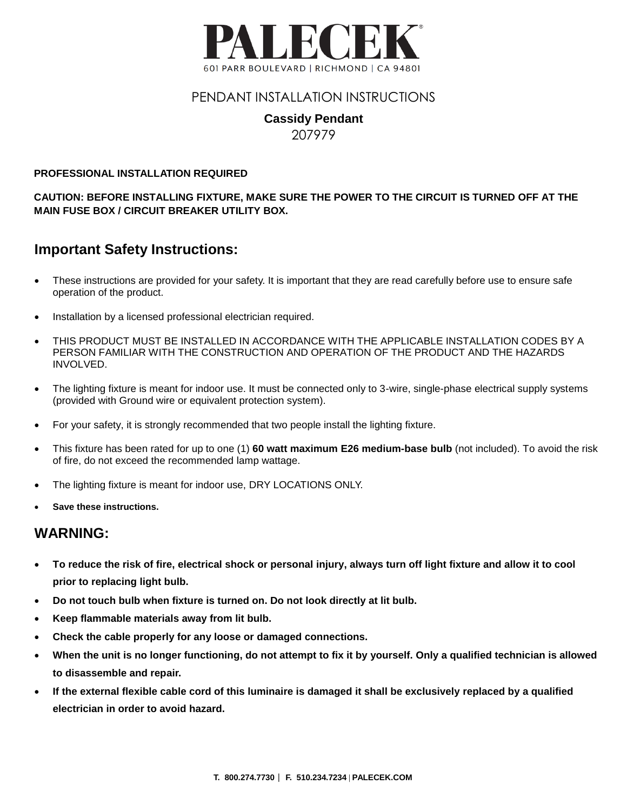

### PENDANT INSTALLATION INSTRUCTIONS

#### **Cassidy Pendant** 207979

#### **PROFESSIONAL INSTALLATION REQUIRED**

**CAUTION: BEFORE INSTALLING FIXTURE, MAKE SURE THE POWER TO THE CIRCUIT IS TURNED OFF AT THE MAIN FUSE BOX / CIRCUIT BREAKER UTILITY BOX.**

## **Important Safety Instructions:**

- These instructions are provided for your safety. It is important that they are read carefully before use to ensure safe operation of the product.
- Installation by a licensed professional electrician required.
- THIS PRODUCT MUST BE INSTALLED IN ACCORDANCE WITH THE APPLICABLE INSTALLATION CODES BY A PERSON FAMILIAR WITH THE CONSTRUCTION AND OPERATION OF THE PRODUCT AND THE HAZARDS INVOLVED.
- The lighting fixture is meant for indoor use. It must be connected only to 3-wire, single-phase electrical supply systems (provided with Ground wire or equivalent protection system).
- For your safety, it is strongly recommended that two people install the lighting fixture.
- This fixture has been rated for up to one (1) **60 watt maximum E26 medium-base bulb** (not included). To avoid the risk of fire, do not exceed the recommended lamp wattage.
- The lighting fixture is meant for indoor use, DRY LOCATIONS ONLY.
- **Save these instructions.**

### **WARNING:**

- **To reduce the risk of fire, electrical shock or personal injury, always turn off light fixture and allow it to cool prior to replacing light bulb.**
- **Do not touch bulb when fixture is turned on. Do not look directly at lit bulb.**
- **Keep flammable materials away from lit bulb.**
- **Check the cable properly for any loose or damaged connections.**
- **When the unit is no longer functioning, do not attempt to fix it by yourself. Only a qualified technician is allowed to disassemble and repair.**
- **If the external flexible cable cord of this luminaire is damaged it shall be exclusively replaced by a qualified electrician in order to avoid hazard.**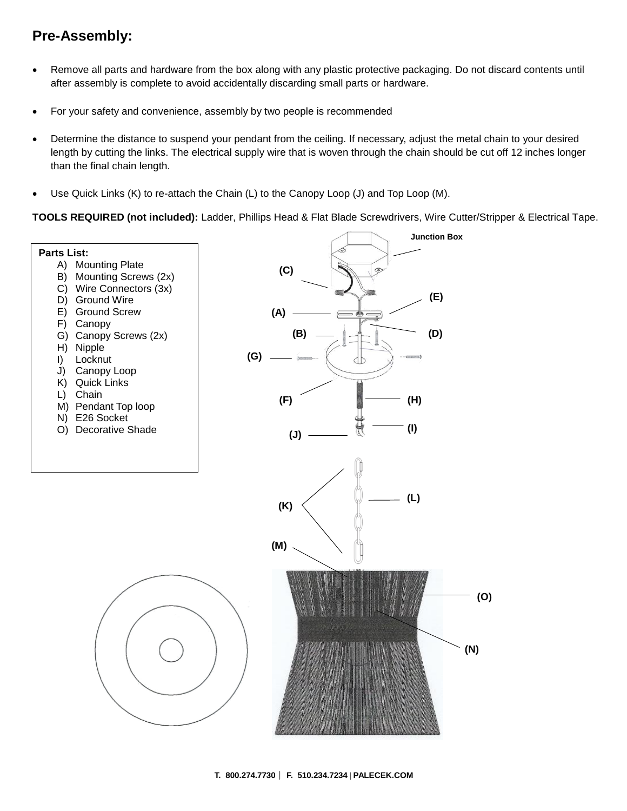# **Pre-Assembly:**

- Remove all parts and hardware from the box along with any plastic protective packaging. Do not discard contents until after assembly is complete to avoid accidentally discarding small parts or hardware.
- For your safety and convenience, assembly by two people is recommended
- Determine the distance to suspend your pendant from the ceiling. If necessary, adjust the metal chain to your desired length by cutting the links. The electrical supply wire that is woven through the chain should be cut off 12 inches longer than the final chain length.
- Use Quick Links (K) to re-attach the Chain (L) to the Canopy Loop (J) and Top Loop (M).

**TOOLS REQUIRED (not included):** Ladder, Phillips Head & Flat Blade Screwdrivers, Wire Cutter/Stripper & Electrical Tape.